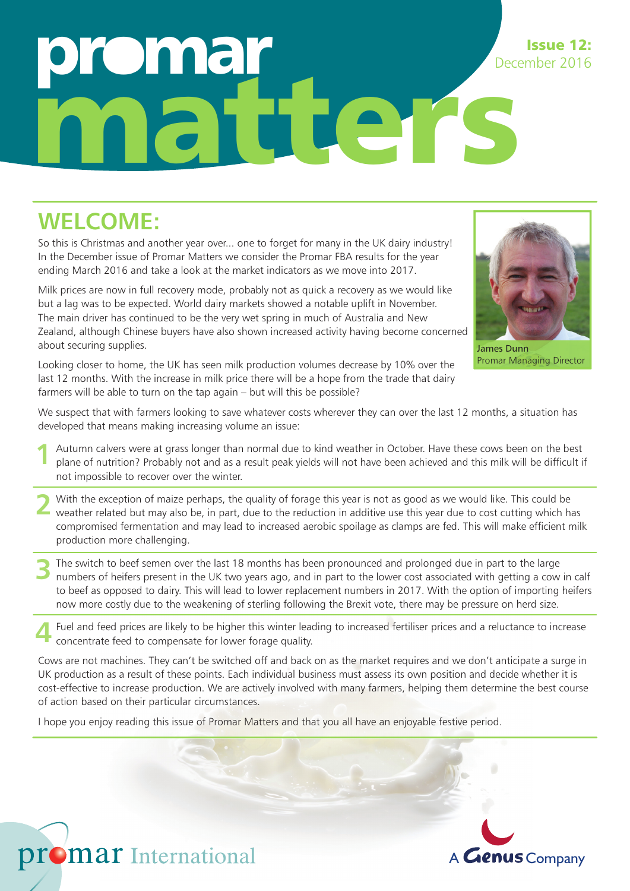# nic matters December 2016

### **WELCOME:**

So this is Christmas and another year over... one to forget for many in the UK dairy industry! In the December issue of Promar Matters we consider the Promar FBA results for the year ending March 2016 and take a look at the market indicators as we move into 2017.

Milk prices are now in full recovery mode, probably not as quick a recovery as we would like but a lag was to be expected. World dairy markets showed a notable uplift in November. The main driver has continued to be the very wet spring in much of Australia and New Zealand, although Chinese buyers have also shown increased activity having become concerned about securing supplies.

Issue 12:

James Dunn Promar Managing Director

Looking closer to home, the UK has seen milk production volumes decrease by 10% over the last 12 months. With the increase in milk price there will be a hope from the trade that dairy farmers will be able to turn on the tap again – but will this be possible?

We suspect that with farmers looking to save whatever costs wherever they can over the last 12 months, a situation has developed that means making increasing volume an issue:

- Autumn calvers were at grass longer than normal due to kind weather in October. Have these cows been on the best plane of nutrition? Probably not and as a result peak yields will not have been achieved and this milk will be difficult if not impossible to recover over the winter. **1**
- With the exception of maize perhaps, the quality of forage this year is not as good as we would like. This could be weather related but may also be, in part, due to the reduction in additive use this year due to cost cutting which has compromised fermentation and may lead to increased aerobic spoilage as clamps are fed. This will make efficient milk production more challenging. **2**
- The switch to beef semen over the last 18 months has been pronounced and prolonged due in part to the large numbers of heifers present in the UK two years ago, and in part to the lower cost associated with getting a cow in calf to beef as opposed to dairy. This will lead to lower replacement numbers in 2017. With the option of importing heifers now more costly due to the weakening of sterling following the Brexit vote, there may be pressure on herd size. **3**

Fuel and feed prices are likely to be higher this winter leading to increased fertiliser prices and a reluctance to increase concentrate feed to compensate for lower forage quality. **4**

Cows are not machines. They can't be switched off and back on as the market requires and we don't anticipate a surge in UK production as a result of these points. Each individual business must assess its own position and decide whether it is cost-effective to increase production. We are actively involved with many farmers, helping them determine the best course of action based on their particular circumstances.

I hope you enjoy reading this issue of Promar Matters and that you all have an enjoyable festive period.



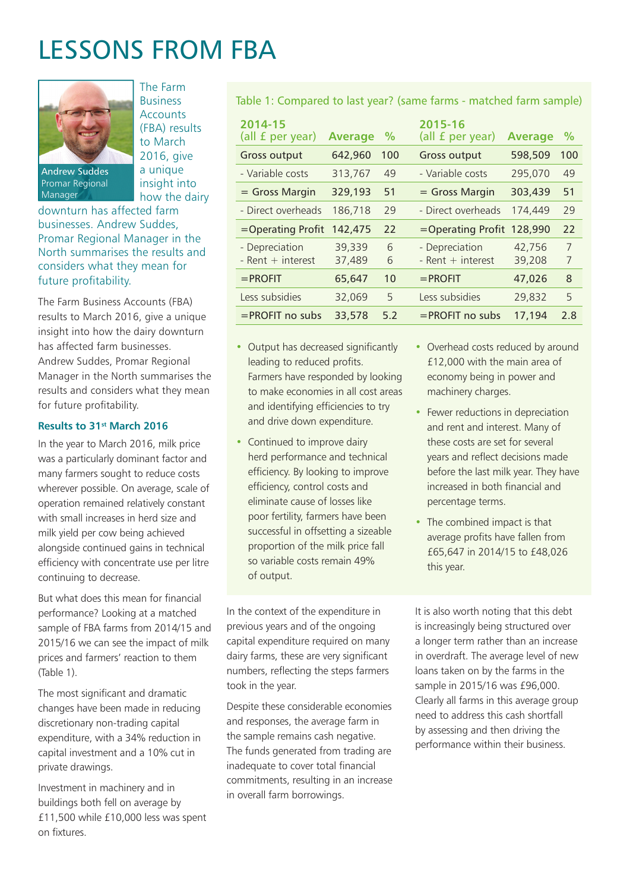## LESSONS FROM FBA

The Farm Business **Accounts** (FBA) results to March 2016, give a unique insight into how the dairy



Promar Regional Manager

downturn has affected farm businesses. Andrew Suddes, Promar Regional Manager in the North summarises the results and considers what they mean for future profitability.

The Farm Business Accounts (FBA) results to March 2016, give a unique insight into how the dairy downturn has affected farm businesses. Andrew Suddes, Promar Regional Manager in the North summarises the results and considers what they mean for future profitability.

#### **Results to 31st March 2016**

In the year to March 2016, milk price was a particularly dominant factor and many farmers sought to reduce costs wherever possible. On average, scale of operation remained relatively constant with small increases in herd size and milk yield per cow being achieved alongside continued gains in technical efficiency with concentrate use per litre continuing to decrease.

But what does this mean for financial performance? Looking at a matched sample of FBA farms from 2014/15 and 2015/16 we can see the impact of milk prices and farmers' reaction to them (Table 1).

The most significant and dramatic changes have been made in reducing discretionary non-trading capital expenditure, with a 34% reduction in capital investment and a 10% cut in private drawings.

Investment in machinery and in buildings both fell on average by £11,500 while £10,000 less was spent on fixtures

Table 1: Compared to last year? (same farms - matched farm sample)

| 2014-15<br>(all f per year)             | <b>Average</b>   | $\%$   | 2015-16<br>(all f per year)             | <b>Average</b>   | $\%$   |
|-----------------------------------------|------------------|--------|-----------------------------------------|------------------|--------|
| <b>Gross output</b>                     | 642,960          | 100    | <b>Gross output</b>                     | 598,509          | 100    |
| - Variable costs                        | 313,767          | 49     | - Variable costs                        | 295,070          | 49     |
| $=$ Gross Margin                        | 329,193          | 51     | $=$ Gross Margin                        | 303,439          | 51     |
| - Direct overheads                      | 186,718          | 29     | - Direct overheads                      | 174,449          | 29     |
| =Operating Profit                       | 142,475          | 22     | =Operating Profit 128,990               |                  | 22     |
| - Depreciation<br>$-$ Rent $+$ interest | 39,339<br>37,489 | 6<br>6 | - Depreciation<br>$-$ Rent $+$ interest | 42,756<br>39,208 | 7<br>7 |
| $=$ PROFIT                              | 65,647           | 10     | $=$ PROFIT                              | 47,026           | 8      |
| Less subsidies                          | 32,069           | 5      | Less subsidies                          | 29,832           | 5      |
| $=$ PROFIT no subs                      | 33,578           | 5.2    | $=$ PROFIT no subs                      | 17,194           | 2.8    |

- Output has decreased significantly leading to reduced profits. Farmers have responded by looking to make economies in all cost areas and identifying efficiencies to try and drive down expenditure.
- Continued to improve dairy herd performance and technical efficiency. By looking to improve efficiency, control costs and eliminate cause of losses like poor fertility, farmers have been successful in offsetting a sizeable proportion of the milk price fall so variable costs remain 49% of output.

In the context of the expenditure in previous years and of the ongoing capital expenditure required on many dairy farms, these are very significant numbers, reflecting the steps farmers took in the year.

Despite these considerable economies and responses, the average farm in the sample remains cash negative. The funds generated from trading are inadequate to cover total financial commitments, resulting in an increase in overall farm borrowings.

- Overhead costs reduced by around £12,000 with the main area of economy being in power and machinery charges.
- Fewer reductions in depreciation and rent and interest. Many of these costs are set for several years and reflect decisions made before the last milk year. They have increased in both financial and percentage terms.
- The combined impact is that average profits have fallen from £65,647 in 2014/15 to £48,026 this year.

It is also worth noting that this debt is increasingly being structured over a longer term rather than an increase in overdraft. The average level of new loans taken on by the farms in the sample in 2015/16 was £96,000. Clearly all farms in this average group need to address this cash shortfall by assessing and then driving the performance within their business.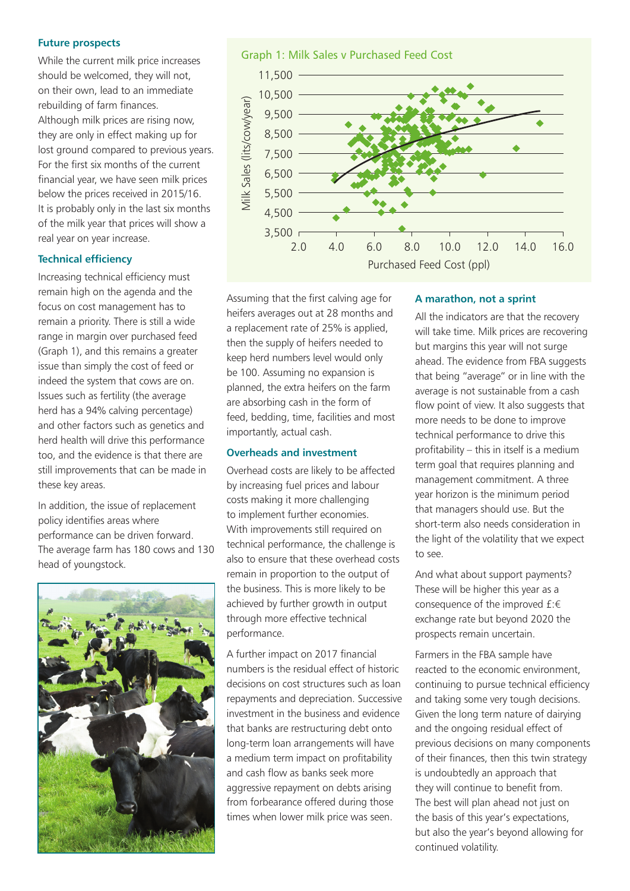#### **Future prospects**

While the current milk price increases should be welcomed, they will not, on their own, lead to an immediate rebuilding of farm finances. Although milk prices are rising now, they are only in effect making up for lost ground compared to previous years. For the first six months of the current financial year, we have seen milk prices below the prices received in 2015/16. It is probably only in the last six months of the milk year that prices will show a real year on year increase.

#### **Technical efficiency**

Increasing technical efficiency must remain high on the agenda and the focus on cost management has to remain a priority. There is still a wide range in margin over purchased feed (Graph 1), and this remains a greater issue than simply the cost of feed or indeed the system that cows are on. Issues such as fertility (the average herd has a 94% calving percentage) and other factors such as genetics and herd health will drive this performance too, and the evidence is that there are still improvements that can be made in these key areas.

In addition, the issue of replacement policy identifies areas where performance can be driven forward. The average farm has 180 cows and 130 head of youngstock.



Graph 1: Milk Sales v Purchased Feed Cost



Assuming that the first calving age for heifers averages out at 28 months and a replacement rate of 25% is applied, then the supply of heifers needed to keep herd numbers level would only be 100. Assuming no expansion is planned, the extra heifers on the farm are absorbing cash in the form of feed, bedding, time, facilities and most importantly, actual cash.

#### **Overheads and investment**

Overhead costs are likely to be affected by increasing fuel prices and labour costs making it more challenging to implement further economies. With improvements still required on technical performance, the challenge is also to ensure that these overhead costs remain in proportion to the output of the business. This is more likely to be achieved by further growth in output through more effective technical performance.

A further impact on 2017 financial numbers is the residual effect of historic decisions on cost structures such as loan repayments and depreciation. Successive investment in the business and evidence that banks are restructuring debt onto long-term loan arrangements will have a medium term impact on profitability and cash flow as banks seek more aggressive repayment on debts arising from forbearance offered during those times when lower milk price was seen.

#### **A marathon, not a sprint**

All the indicators are that the recovery will take time. Milk prices are recovering but margins this year will not surge ahead. The evidence from FBA suggests that being "average" or in line with the average is not sustainable from a cash flow point of view. It also suggests that more needs to be done to improve technical performance to drive this profitability – this in itself is a medium term goal that requires planning and management commitment. A three year horizon is the minimum period that managers should use. But the short-term also needs consideration in the light of the volatility that we expect to see.

And what about support payments? These will be higher this year as a consequence of the improved £:€ exchange rate but beyond 2020 the prospects remain uncertain.

Farmers in the FBA sample have reacted to the economic environment, continuing to pursue technical efficiency and taking some very tough decisions. Given the long term nature of dairying and the ongoing residual effect of previous decisions on many components of their finances, then this twin strategy is undoubtedly an approach that they will continue to benefit from. The best will plan ahead not just on the basis of this year's expectations, but also the year's beyond allowing for continued volatility.